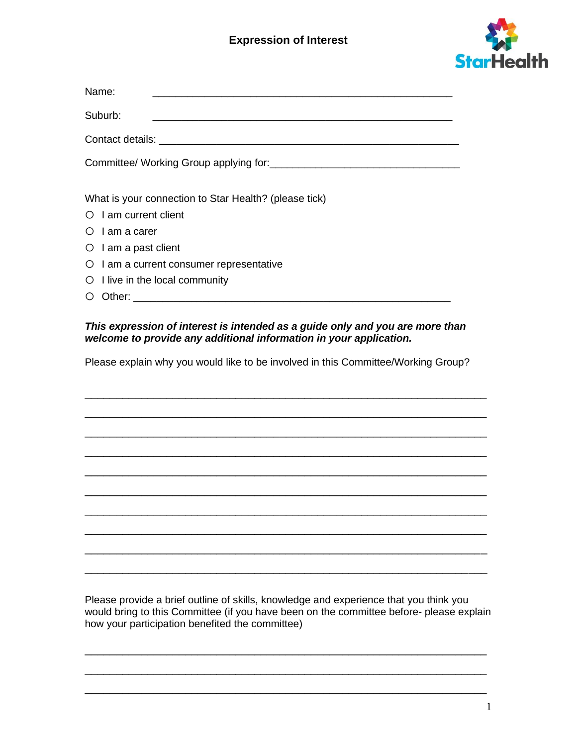## **Expression of Interest**



| Name:                                                 |
|-------------------------------------------------------|
| Suburb:                                               |
|                                                       |
|                                                       |
|                                                       |
| What is your connection to Star Health? (please tick) |
| $\circ$ I am current client                           |
| $\circ$ I am a carer                                  |
| $\circ$ I am a past client                            |
| O I am a current consumer representative              |
| $\circ$ I live in the local community                 |

 $\bigcirc$  Other:  $\bigcirc$ 

## *This expression of interest is intended as a guide only and you are more than welcome to provide any additional information in your application.*

Please explain why you would like to be involved in this Committee/Working Group?

\_\_\_\_\_\_\_\_\_\_\_\_\_\_\_\_\_\_\_\_\_\_\_\_\_\_\_\_\_\_\_\_\_\_\_\_\_\_\_\_\_\_\_\_\_\_\_\_\_\_\_\_\_\_\_\_\_\_\_\_\_\_\_\_

\_\_\_\_\_\_\_\_\_\_\_\_\_\_\_\_\_\_\_\_\_\_\_\_\_\_\_\_\_\_\_\_\_\_\_\_\_\_\_\_\_\_\_\_\_\_\_\_\_\_\_\_\_\_\_\_\_\_\_\_\_\_\_\_

\_\_\_\_\_\_\_\_\_\_\_\_\_\_\_\_\_\_\_\_\_\_\_\_\_\_\_\_\_\_\_\_\_\_\_\_\_\_\_\_\_\_\_\_\_\_\_\_\_\_\_\_\_\_\_\_\_\_\_\_\_\_\_\_

\_\_\_\_\_\_\_\_\_\_\_\_\_\_\_\_\_\_\_\_\_\_\_\_\_\_\_\_\_\_\_\_\_\_\_\_\_\_\_\_\_\_\_\_\_\_\_\_\_\_\_\_\_\_\_\_\_\_\_\_\_\_\_\_

\_\_\_\_\_\_\_\_\_\_\_\_\_\_\_\_\_\_\_\_\_\_\_\_\_\_\_\_\_\_\_\_\_\_\_\_\_\_\_\_\_\_\_\_\_\_\_\_\_\_\_\_\_\_\_\_\_\_\_\_\_\_\_\_

\_\_\_\_\_\_\_\_\_\_\_\_\_\_\_\_\_\_\_\_\_\_\_\_\_\_\_\_\_\_\_\_\_\_\_\_\_\_\_\_\_\_\_\_\_\_\_\_\_\_\_\_\_\_\_\_\_\_\_\_\_\_\_\_

\_\_\_\_\_\_\_\_\_\_\_\_\_\_\_\_\_\_\_\_\_\_\_\_\_\_\_\_\_\_\_\_\_\_\_\_\_\_\_\_\_\_\_\_\_\_\_\_\_\_\_\_\_\_\_\_\_\_\_\_\_\_\_\_

\_\_\_\_\_\_\_\_\_\_\_\_\_\_\_\_\_\_\_\_\_\_\_\_\_\_\_\_\_\_\_\_\_\_\_\_\_\_\_\_\_\_\_\_\_\_\_\_\_\_\_\_\_\_\_\_\_\_\_\_\_\_\_\_

\_\_\_\_\_\_\_\_\_\_\_\_\_\_\_\_\_\_\_\_\_\_\_\_\_\_\_\_\_\_\_\_\_\_\_\_\_\_\_\_\_\_\_\_\_\_\_\_\_\_\_\_\_\_\_\_\_\_\_\_\_\_\_\_

\_\_\_\_\_\_\_\_\_\_\_\_\_\_\_\_\_\_\_\_\_\_\_\_\_\_\_\_\_\_\_\_\_\_\_\_\_\_\_\_\_\_\_\_\_\_\_\_\_\_\_\_\_\_\_\_\_\_\_\_\_\_\_\_

Please provide a brief outline of skills, knowledge and experience that you think you would bring to this Committee (if you have been on the committee before- please explain how your participation benefited the committee)

\_\_\_\_\_\_\_\_\_\_\_\_\_\_\_\_\_\_\_\_\_\_\_\_\_\_\_\_\_\_\_\_\_\_\_\_\_\_\_\_\_\_\_\_\_\_\_\_\_\_\_\_\_\_\_\_\_\_\_\_\_\_\_\_

\_\_\_\_\_\_\_\_\_\_\_\_\_\_\_\_\_\_\_\_\_\_\_\_\_\_\_\_\_\_\_\_\_\_\_\_\_\_\_\_\_\_\_\_\_\_\_\_\_\_\_\_\_\_\_\_\_\_\_\_\_\_\_\_

\_\_\_\_\_\_\_\_\_\_\_\_\_\_\_\_\_\_\_\_\_\_\_\_\_\_\_\_\_\_\_\_\_\_\_\_\_\_\_\_\_\_\_\_\_\_\_\_\_\_\_\_\_\_\_\_\_\_\_\_\_\_\_\_